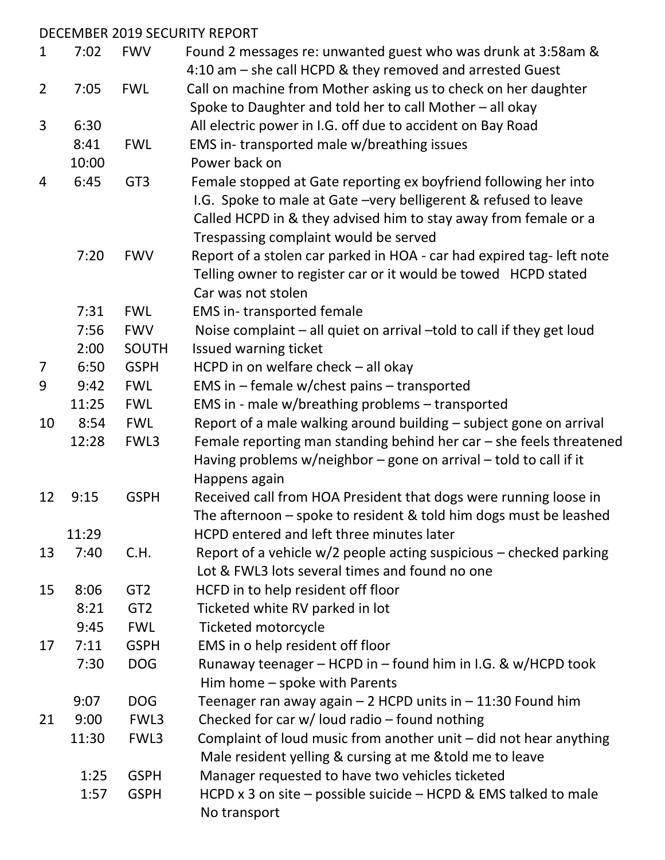|                |       |                 | DECEMBER 2019 SECURITY REPORT                                          |
|----------------|-------|-----------------|------------------------------------------------------------------------|
| 1              | 7:02  | <b>FWV</b>      | Found 2 messages re: unwanted guest who was drunk at 3:58am &          |
|                |       |                 | 4:10 am – she call HCPD & they removed and arrested Guest              |
| $\overline{2}$ | 7:05  | <b>FWL</b>      | Call on machine from Mother asking us to check on her daughter         |
|                |       |                 | Spoke to Daughter and told her to call Mother - all okay               |
| 3              | 6:30  |                 | All electric power in I.G. off due to accident on Bay Road             |
|                | 8:41  | <b>FWL</b>      | EMS in-transported male w/breathing issues                             |
|                | 10:00 |                 | Power back on                                                          |
| 4              | 6:45  | GT <sub>3</sub> | Female stopped at Gate reporting ex boyfriend following her into       |
|                |       |                 | I.G. Spoke to male at Gate - very belligerent & refused to leave       |
|                |       |                 | Called HCPD in & they advised him to stay away from female or a        |
|                |       |                 | Trespassing complaint would be served                                  |
|                | 7:20  | <b>FWV</b>      | Report of a stolen car parked in HOA - car had expired tag- left note  |
|                |       |                 | Telling owner to register car or it would be towed HCPD stated         |
|                |       |                 | Car was not stolen                                                     |
|                | 7:31  | <b>FWL</b>      | <b>EMS</b> in-transported female                                       |
|                | 7:56  | <b>FWV</b>      | Noise complaint - all quiet on arrival - told to call if they get loud |
|                | 2:00  | <b>SOUTH</b>    | Issued warning ticket                                                  |
| 7              | 6:50  | <b>GSPH</b>     | HCPD in on welfare check $-$ all okay                                  |
| 9              | 9:42  | <b>FWL</b>      | EMS in $-$ female w/chest pains $-$ transported                        |
|                | 11:25 | <b>FWL</b>      | EMS in - male w/breathing problems - transported                       |
| 10             | 8:54  | <b>FWL</b>      | Report of a male walking around building - subject gone on arrival     |
|                | 12:28 | FWL3            | Female reporting man standing behind her car $-$ she feels threatened  |
|                |       |                 | Having problems w/neighbor - gone on arrival - told to call if it      |
|                |       |                 | Happens again                                                          |
| 12             | 9:15  | <b>GSPH</b>     | Received call from HOA President that dogs were running loose in       |
|                |       |                 | The afternoon – spoke to resident & told him dogs must be leashed      |
|                | 11:29 |                 | HCPD entered and left three minutes later                              |
| 13             | 7:40  | C.H.            | Report of a vehicle $w/2$ people acting suspicious – checked parking   |
|                |       |                 | Lot & FWL3 lots several times and found no one                         |
| 15             | 8:06  | GT <sub>2</sub> | HCFD in to help resident off floor                                     |
|                | 8:21  | GT <sub>2</sub> | Ticketed white RV parked in lot                                        |
|                | 9:45  | <b>FWL</b>      | <b>Ticketed motorcycle</b>                                             |
| 17             | 7:11  | <b>GSPH</b>     | EMS in o help resident off floor                                       |
|                | 7:30  | <b>DOG</b>      | Runaway teenager - HCPD in - found him in I.G. & w/HCPD took           |
|                |       |                 | Him home - spoke with Parents                                          |
|                | 9:07  | <b>DOG</b>      | Teenager ran away again – 2 HCPD units in – 11:30 Found him            |
| 21             | 9:00  | FWL3            | Checked for car w/ loud radio - found nothing                          |
|                | 11:30 | FWL3            | Complaint of loud music from another unit $-$ did not hear anything    |
|                |       |                 | Male resident yelling & cursing at me & told me to leave               |
|                | 1:25  | <b>GSPH</b>     | Manager requested to have two vehicles ticketed                        |
|                | 1:57  | <b>GSPH</b>     | HCPD x 3 on site $-$ possible suicide $-$ HCPD & EMS talked to male    |
|                |       |                 | No transport                                                           |